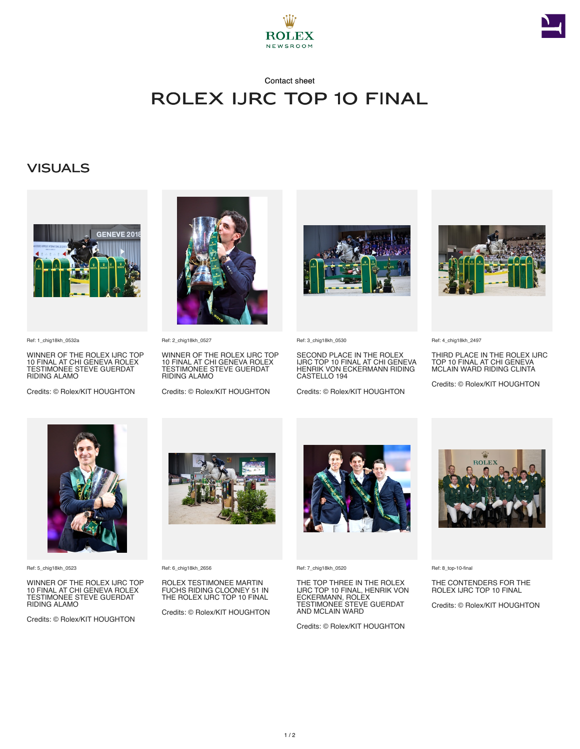



## Contact sheet Rolex IJRC Top 10 Final

## **VISUALS**



Ref: 1\_chig18kh\_0532a

WINNER OF THE ROLEX IJRC TOP 10 FINAL AT CHI GENEVA ROLEX TESTIMONEE STEVE GUERDAT RIDING ALAMO

Credits: © Rolex/KIT HOUGHTON



Ref: 2\_chig18kh\_0527

WINNER OF THE ROLEX IJRC TOP 10 FINAL AT CHI GENEVA ROLEX TESTIMONEE STEVE GUERDAT RIDING ALAMO

Credits: © Rolex/KIT HOUGHTON



Ref: 3\_chig18kh\_0530

SECOND PLACE IN THE ROLEX IJRC TOP 10 FINAL AT CHI GENEVA HENRIK VON ECKERMANN RIDING CASTELLO 194

Credits: © Rolex/KIT HOUGHTON



Ref: 4\_chig18kh\_2497

THIRD PLACE IN THE ROLEX IJRC TOP 10 FINAL AT CHI GENEVA MCLAIN WARD RIDING CLINTA

Credits: © Rolex/KIT HOUGHTON



Ref: 5\_chig18kh\_0523

WINNER OF THE ROLEX IJRC TOP 10 FINAL AT CHI GENEVA ROLEX TESTIMONEE STEVE GUERDAT RIDING ALAMO

Credits: © Rolex/KIT HOUGHTON



Ref: 6\_chig18kh\_2656

ROLEX TESTIMONEE MARTIN FUCHS RIDING CLOONEY 51 IN THE ROLEX IJRC TOP 10 FINAL

Credits: © Rolex/KIT HOUGHTON



Ref: 7\_chig18kh\_0520

THE TOP THREE IN THE ROLEX IJRC TOP 10 FINAL, HENRIK VON ECKERMANN, ROLEX TESTIMONEE STEVE GUERDAT AND MCLAIN WARD

Credits: © Rolex/KIT HOUGHTON



Ref: 8\_top-10-final

THE CONTENDERS FOR THE ROLEX IJRC TOP 10 FINAL

Credits: © Rolex/KIT HOUGHTON